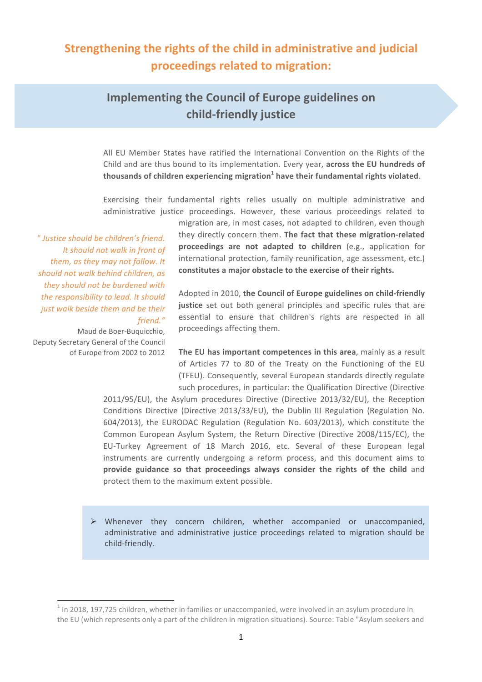## **Strengthening the rights of the child in administrative and judicial proceedings related to migration:**

## **Implementing the Council of Europe guidelines on child-friendly justice**

All EU Member States have ratified the International Convention on the Rights of the Child and are thus bound to its implementation. Every year, **across the EU hundreds of thousands of children experiencing migration**<sup>1</sup> have their fundamental rights violated.

Exercising their fundamental rights relies usually on multiple administrative and administrative justice proceedings. However, these various proceedings related to

*" Justice should be children's friend. It should not walk in front of* them, as they may not follow. It *should not walk behind children, as* they should not be burdened with the responsibility to lead. It should *just* walk beside them and be their *friend."*

Maud de Boer-Buquicchio, Deputy Secretary General of the Council of Europe from 2002 to 2012

<u> 1989 - Johann Stein, fransk politik (d. 1989)</u>

migration are, in most cases, not adapted to children, even though they directly concern them. The fact that these migration-related **proceedings are not adapted to children** (e.g., application for international protection, family reunification, age assessment, etc.) constitutes a major obstacle to the exercise of their rights.

Adopted in 2010, the Council of Europe guidelines on child-friendly **justice** set out both general principles and specific rules that are essential to ensure that children's rights are respected in all proceedings affecting them.

**The EU has important competences in this area.** mainly as a result of Articles 77 to 80 of the Treaty on the Functioning of the EU (TFEU). Consequently, several European standards directly regulate such procedures, in particular: the Qualification Directive (Directive

2011/95/EU), the Asylum procedures Directive (Directive 2013/32/EU), the Reception Conditions Directive (Directive 2013/33/EU), the Dublin III Regulation (Regulation No. 604/2013), the EURODAC Regulation (Regulation No. 603/2013), which constitute the Common European Asylum System, the Return Directive (Directive 2008/115/EC), the EU-Turkey Agreement of 18 March 2016, etc. Several of these European legal instruments are currently undergoing a reform process, and this document aims to **provide guidance so that proceedings always consider the rights of the child** and protect them to the maximum extent possible.

 $\triangleright$  Whenever they concern children, whether accompanied or unaccompanied, administrative and administrative justice proceedings related to migration should be child-friendly. 

 $<sup>1</sup>$  In 2018, 197,725 children, whether in families or unaccompanied, were involved in an asylum procedure in</sup> the EU (which represents only a part of the children in migration situations). Source: Table "Asylum seekers and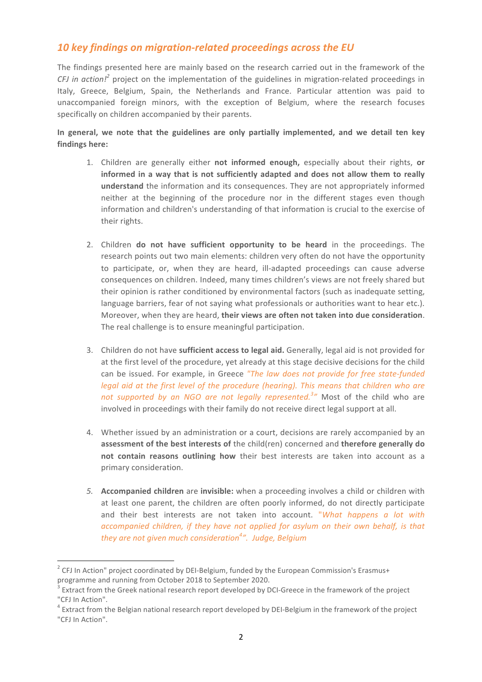#### 10 key findings on migration-related proceedings across the EU

The findings presented here are mainly based on the research carried out in the framework of the *CFJ* in action!<sup>2</sup> project on the implementation of the guidelines in migration-related proceedings in Italy, Greece, Belgium, Spain, the Netherlands and France. Particular attention was paid to unaccompanied foreign minors, with the exception of Belgium, where the research focuses specifically on children accompanied by their parents.

In general, we note that the guidelines are only partially implemented, and we detail ten key findings here:

- 1. Children are generally either not informed enough, especially about their rights, or informed in a way that is not sufficiently adapted and does not allow them to really understand the information and its consequences. They are not appropriately informed neither at the beginning of the procedure nor in the different stages even though information and children's understanding of that information is crucial to the exercise of their rights.
- 2. Children **do** not have sufficient opportunity to be heard in the proceedings. The research points out two main elements: children very often do not have the opportunity to participate, or, when they are heard, ill-adapted proceedings can cause adverse consequences on children. Indeed, many times children's views are not freely shared but their opinion is rather conditioned by environmental factors (such as inadequate setting, language barriers, fear of not saying what professionals or authorities want to hear etc.). Moreover, when they are heard, their views are often not taken into due consideration. The real challenge is to ensure meaningful participation.
- 3. Children do not have **sufficient access to legal aid.** Generally, legal aid is not provided for at the first level of the procedure, yet already at this stage decisive decisions for the child can be issued. For example, in Greece "The law does not provide for free state-funded *legal* aid at the first level of the procedure (hearing). This means that children who are not supported by an NGO are not legally represented.<sup>3</sup>" Most of the child who are involved in proceedings with their family do not receive direct legal support at all.
- 4. Whether issued by an administration or a court, decisions are rarely accompanied by an assessment of the best interests of the child(ren) concerned and therefore generally do **not contain reasons outlining how** their best interests are taken into account as a primary consideration.
- 5. **Accompanied children** are **invisible:** when a proceeding involves a child or children with at least one parent, the children are often poorly informed, do not directly participate and their best interests are not taken into account. "What happens a lot with *accompanied children, if they have not applied for asylum on their own behalf, is that they are not given much consideration<sup>4</sup> ". Judge, Belgium*

<u> 1989 - Johann Stein, fransk politik (d. 1989)</u>

 $2$  CFJ In Action" project coordinated by DEI-Belgium, funded by the European Commission's Erasmus+ programme and running from October 2018 to September 2020.

 $3$  Extract from the Greek national research report developed by DCI-Greece in the framework of the project "CFJ In Action".

 $^4$  Extract from the Belgian national research report developed by DEI-Belgium in the framework of the project "CFJ In Action".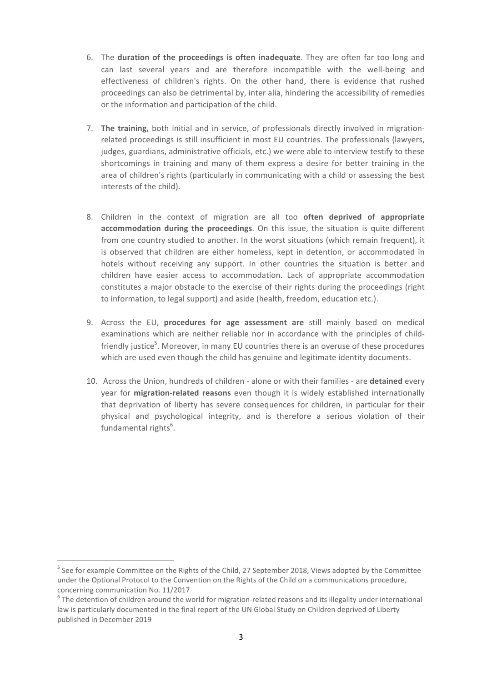- 6. The duration of the proceedings is often inadequate. They are often far too long and can last several years and are therefore incompatible with the well-being and effectiveness of children's rights. On the other hand, there is evidence that rushed proceedings can also be detrimental by, inter alia, hindering the accessibility of remedies or the information and participation of the child.
- 7. The training, both initial and in service, of professionals directly involved in migrationrelated proceedings is still insufficient in most EU countries. The professionals (lawyers, judges, guardians, administrative officials, etc.) we were able to interview testify to these shortcomings in training and many of them express a desire for better training in the area of children's rights (particularly in communicating with a child or assessing the best interests of the child).
- 8. Children in the context of migration are all too **often deprived of appropriate accommodation during the proceedings**. On this issue, the situation is quite different from one country studied to another. In the worst situations (which remain frequent), it is observed that children are either homeless, kept in detention, or accommodated in hotels without receiving any support. In other countries the situation is better and children have easier access to accommodation. Lack of appropriate accommodation constitutes a major obstacle to the exercise of their rights during the proceedings (right to information, to legal support) and aside (health, freedom, education etc.).
- 9. Across the EU, procedures for age assessment are still mainly based on medical examinations which are neither reliable nor in accordance with the principles of childfriendly justice<sup>5</sup>. Moreover, in many EU countries there is an overuse of these procedures which are used even though the child has genuine and legitimate identity documents.
- 10. Across the Union, hundreds of children alone or with their families are detained every year for **migration-related reasons** even though it is widely established internationally that deprivation of liberty has severe consequences for children, in particular for their physical and psychological integrity, and is therefore a serious violation of their fundamental rights<sup>6</sup>.

<u> 1989 - Johann Stein, fransk politik (d. 1989)</u>

 $5$  See for example Committee on the Rights of the Child, 27 September 2018, Views adopted by the Committee under the Optional Protocol to the Convention on the Rights of the Child on a communications procedure, concerning communication No. 11/2017

 $6$  The detention of children around the world for migration-related reasons and its illegality under international law is particularly documented in the final report of the UN Global Study on Children deprived of Liberty published in December 2019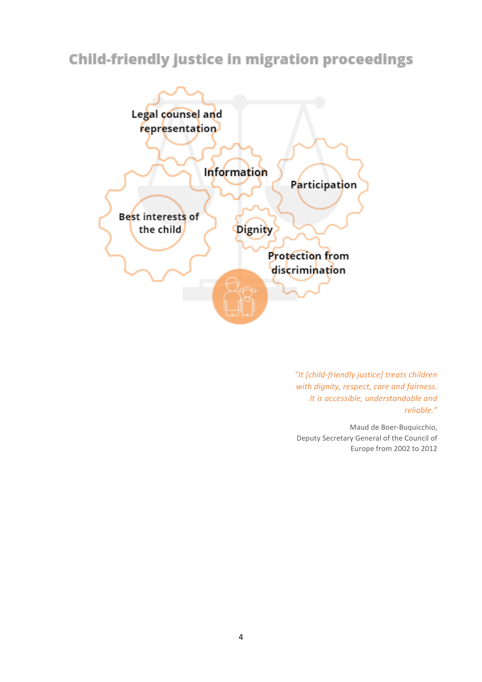# **Child-friendly justice in migration proceedings**



*"It [child-friendly justice] treats children*  with dignity, respect, care and fairness. *It is accessible, understandable and reliable."*

Maud de Boer-Buquicchio, Deputy Secretary General of the Council of Europe from 2002 to 2012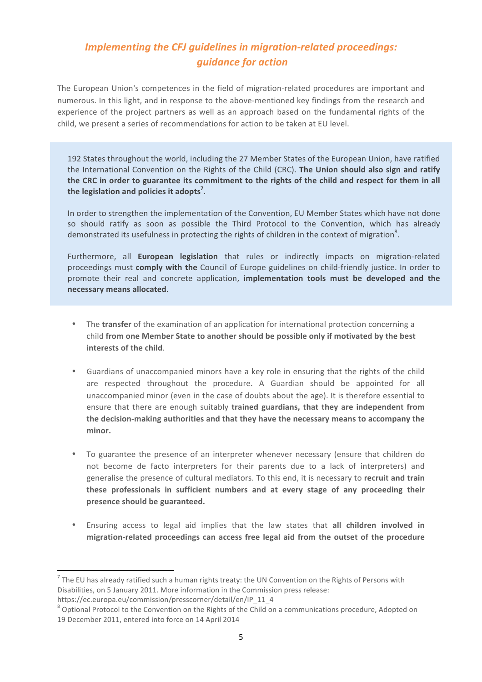### **Implementing the CFJ guidelines in migration-related proceedings:** *guidance for action*

The European Union's competences in the field of migration-related procedures are important and numerous. In this light, and in response to the above-mentioned key findings from the research and experience of the project partners as well as an approach based on the fundamental rights of the child, we present a series of recommendations for action to be taken at EU level.

192 States throughout the world, including the 27 Member States of the European Union, have ratified the International Convention on the Rights of the Child (CRC). The Union should also sign and ratify the CRC in order to guarantee its commitment to the rights of the child and respect for them in all the legislation and policies it adopts<sup>7</sup>.

In order to strengthen the implementation of the Convention, EU Member States which have not done so should ratify as soon as possible the Third Protocol to the Convention, which has already demonstrated its usefulness in protecting the rights of children in the context of migration<sup>8</sup>.

Furthermore, all **European legislation** that rules or indirectly impacts on migration-related proceedings must **comply with the** Council of Europe guidelines on child-friendly justice. In order to promote their real and concrete application, *implementation tools must be developed and the* **necessary means allocated**. 

- The **transfer** of the examination of an application for international protection concerning a child from one Member State to another should be possible only if motivated by the best **interests of the child.**
- Guardians of unaccompanied minors have a key role in ensuring that the rights of the child are respected throughout the procedure. A Guardian should be appointed for all unaccompanied minor (even in the case of doubts about the age). It is therefore essential to ensure that there are enough suitably **trained guardians, that they are independent from** the decision-making authorities and that they have the necessary means to accompany the **minor.**
- To guarantee the presence of an interpreter whenever necessary (ensure that children do not become de facto interpreters for their parents due to a lack of interpreters) and generalise the presence of cultural mediators. To this end, it is necessary to recruit and train these professionals in sufficient numbers and at every stage of any proceeding their **presence should be guaranteed.**
- Ensuring access to legal aid implies that the law states that all children involved in migration-related proceedings can access free legal aid from the outset of the procedure

<u> 1989 - Johann Stein, fransk politik (d. 1989)</u>

 $^7$  The EU has already ratified such a human rights treaty: the UN Convention on the Rights of Persons with Disabilities, on 5 January 2011. More information in the Commission press release: https://ec.europa.eu/commission/presscorner/detail/en/IP\_11\_4

<sup>&</sup>lt;sup>8</sup> Optional Protocol to the Convention on the Rights of the Child on a communications procedure, Adopted on 19 December 2011, entered into force on 14 April 2014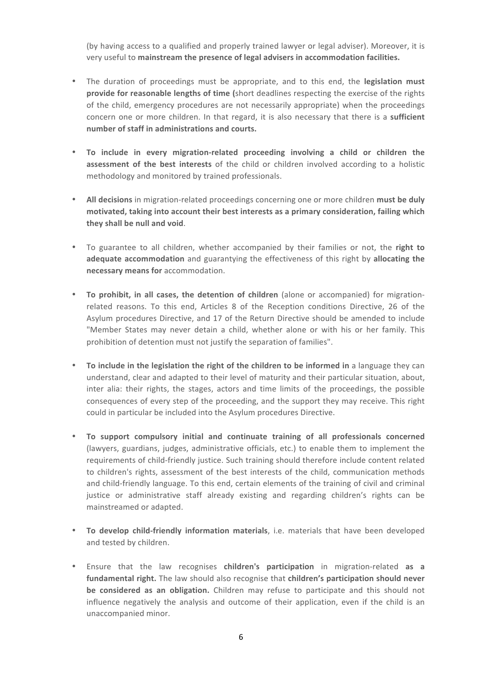(by having access to a qualified and properly trained lawyer or legal adviser). Moreover, it is very useful to mainstream the presence of legal advisers in accommodation facilities.

- The duration of proceedings must be appropriate, and to this end, the **legislation must provide for reasonable lengths of time (short deadlines respecting the exercise of the rights** of the child, emergency procedures are not necessarily appropriate) when the proceedings concern one or more children. In that regard, it is also necessary that there is a sufficient number of staff in administrations and courts.
- **To include in every migration-related proceeding involving a child or children the assessment of the best interests** of the child or children involved according to a holistic methodology and monitored by trained professionals.
- All decisions in migration-related proceedings concerning one or more children must be duly motivated, taking into account their best interests as a primary consideration, failing which they shall be null and void.
- To guarantee to all children, whether accompanied by their families or not, the right to **adequate accommodation** and guarantying the effectiveness of this right by **allocating the necessary means for** accommodation.
- **To prohibit, in all cases, the detention of children** (alone or accompanied) for migrationrelated reasons. To this end, Articles 8 of the Reception conditions Directive, 26 of the Asylum procedures Directive, and 17 of the Return Directive should be amended to include "Member States may never detain a child, whether alone or with his or her family. This prohibition of detention must not justify the separation of families".
- To include in the legislation the right of the children to be informed in a language they can understand, clear and adapted to their level of maturity and their particular situation, about, inter alia: their rights, the stages, actors and time limits of the proceedings, the possible consequences of every step of the proceeding, and the support they may receive. This right could in particular be included into the Asylum procedures Directive.
- **To support compulsory initial and continuate training of all professionals concerned** (lawyers, guardians, judges, administrative officials, etc.) to enable them to implement the requirements of child-friendly justice. Such training should therefore include content related to children's rights, assessment of the best interests of the child, communication methods and child-friendly language. To this end, certain elements of the training of civil and criminal justice or administrative staff already existing and regarding children's rights can be mainstreamed or adapted.
- To develop child-friendly information materials, i.e. materials that have been developed and tested by children.
- Ensure that the law recognises **children's participation** in migration-related as a fundamental right. The law should also recognise that children's participation should never be considered as an obligation. Children may refuse to participate and this should not influence negatively the analysis and outcome of their application, even if the child is an unaccompanied minor.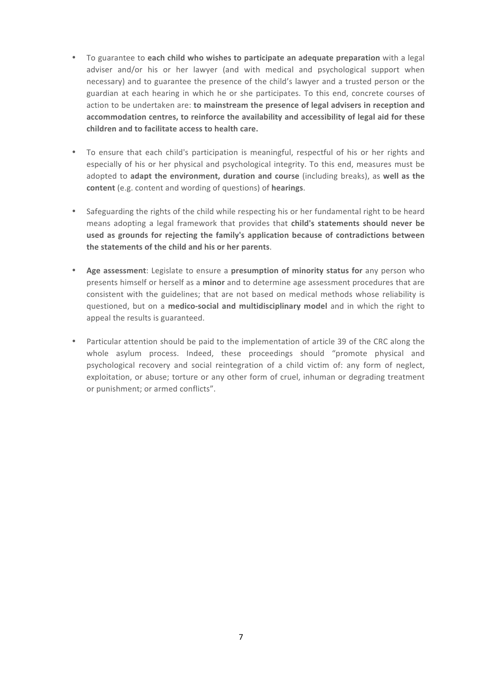- To guarantee to each child who wishes to participate an adequate preparation with a legal adviser and/or his or her lawyer (and with medical and psychological support when necessary) and to guarantee the presence of the child's lawyer and a trusted person or the guardian at each hearing in which he or she participates. To this end, concrete courses of action to be undertaken are: **to mainstream the presence of legal advisers in reception and** accommodation centres, to reinforce the availability and accessibility of legal aid for these **children and to facilitate access to health care.**
- To ensure that each child's participation is meaningful, respectful of his or her rights and especially of his or her physical and psychological integrity. To this end, measures must be adopted to adapt the environment, duration and course (including breaks), as well as the content (e.g. content and wording of questions) of hearings.
- Safeguarding the rights of the child while respecting his or her fundamental right to be heard means adopting a legal framework that provides that **child's statements should never be used as grounds for rejecting the family's application because of contradictions between**  the statements of the child and his or her parents.
- Age assessment: Legislate to ensure a **presumption of minority status for** any person who presents himself or herself as a **minor** and to determine age assessment procedures that are consistent with the guidelines; that are not based on medical methods whose reliability is questioned, but on a medico-social and multidisciplinary model and in which the right to appeal the results is guaranteed.
- Particular attention should be paid to the implementation of article 39 of the CRC along the whole asylum process. Indeed, these proceedings should "promote physical and psychological recovery and social reintegration of a child victim of: any form of neglect, exploitation, or abuse; torture or any other form of cruel, inhuman or degrading treatment or punishment; or armed conflicts".